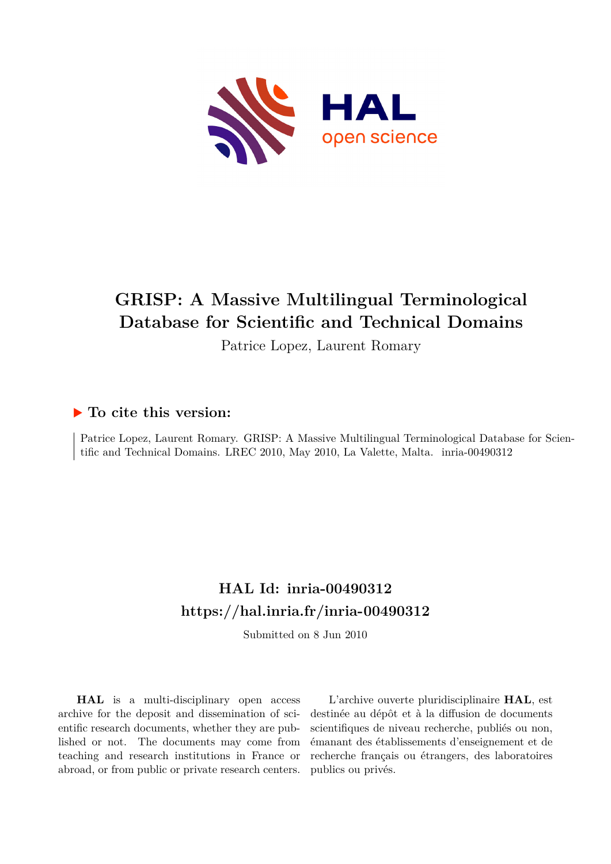

# **GRISP: A Massive Multilingual Terminological Database for Scientific and Technical Domains**

Patrice Lopez, Laurent Romary

## **To cite this version:**

Patrice Lopez, Laurent Romary. GRISP: A Massive Multilingual Terminological Database for Scientific and Technical Domains. LREC 2010, May 2010, La Valette, Malta. inria-00490312

## **HAL Id: inria-00490312 <https://hal.inria.fr/inria-00490312>**

Submitted on 8 Jun 2010

**HAL** is a multi-disciplinary open access archive for the deposit and dissemination of scientific research documents, whether they are published or not. The documents may come from teaching and research institutions in France or abroad, or from public or private research centers.

L'archive ouverte pluridisciplinaire **HAL**, est destinée au dépôt et à la diffusion de documents scientifiques de niveau recherche, publiés ou non, émanant des établissements d'enseignement et de recherche français ou étrangers, des laboratoires publics ou privés.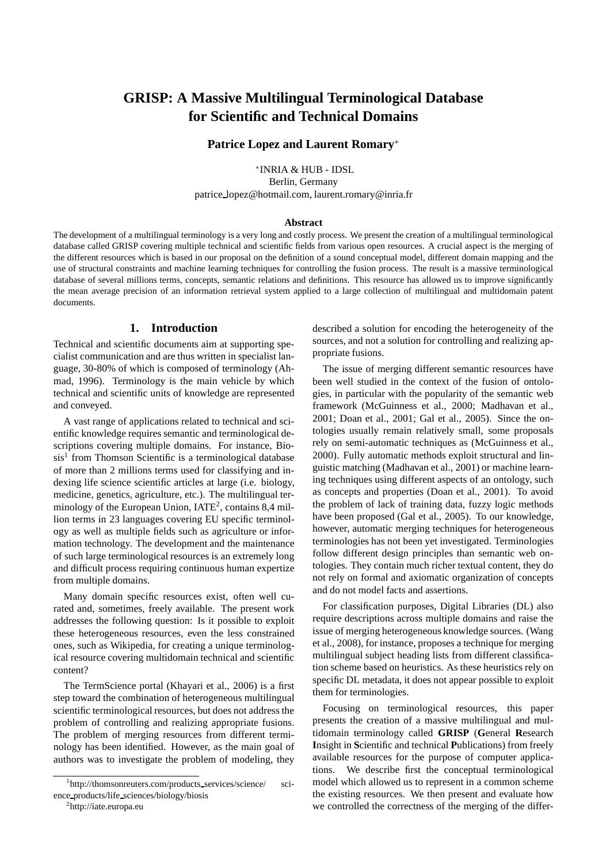### **GRISP: A Massive Multilingual Terminological Database for Scientific and Technical Domains**

#### **Patrice Lopez and Laurent Romary**<sup>∗</sup>

∗ INRIA & HUB - IDSL Berlin, Germany patrice lopez@hotmail.com, laurent.romary@inria.fr

#### **Abstract**

The development of a multilingual terminology is a very long and costly process. We present the creation of a multilingual terminological database called GRISP covering multiple technical and scientific fields from various open resources. A crucial aspect is the merging of the different resources which is based in our proposal on the definition of a sound conceptual model, different domain mapping and the use of structural constraints and machine learning techniques for controlling the fusion process. The result is a massive terminological database of several millions terms, concepts, semantic relations and definitions. This resource has allowed us to improve significantly the mean average precision of an information retrieval system applied to a large collection of multilingual and multidomain patent documents.

#### **1. Introduction**

Technical and scientific documents aim at supporting specialist communication and are thus written in specialist language, 30-80% of which is composed of terminology (Ahmad, 1996). Terminology is the main vehicle by which technical and scientific units of knowledge are represented and conveyed.

A vast range of applications related to technical and scientific knowledge requires semantic and terminological descriptions covering multiple domains. For instance, Biosis<sup>1</sup> from Thomson Scientific is a terminological database of more than 2 millions terms used for classifying and indexing life science scientific articles at large (i.e. biology, medicine, genetics, agriculture, etc.). The multilingual terminology of the European Union, IATE<sup>2</sup>, contains 8,4 million terms in 23 languages covering EU specific terminology as well as multiple fields such as agriculture or information technology. The development and the maintenance of such large terminological resources is an extremely long and difficult process requiring continuous human expertize from multiple domains.

Many domain specific resources exist, often well curated and, sometimes, freely available. The present work addresses the following question: Is it possible to exploit these heterogeneous resources, even the less constrained ones, such as Wikipedia, for creating a unique terminological resource covering multidomain technical and scientific content?

The TermScience portal (Khayari et al., 2006) is a first step toward the combination of heterogeneous multilingual scientific terminological resources, but does not address the problem of controlling and realizing appropriate fusions. The problem of merging resources from different terminology has been identified. However, as the main goal of authors was to investigate the problem of modeling, they

described a solution for encoding the heterogeneity of the sources, and not a solution for controlling and realizing appropriate fusions.

The issue of merging different semantic resources have been well studied in the context of the fusion of ontologies, in particular with the popularity of the semantic web framework (McGuinness et al., 2000; Madhavan et al., 2001; Doan et al., 2001; Gal et al., 2005). Since the ontologies usually remain relatively small, some proposals rely on semi-automatic techniques as (McGuinness et al., 2000). Fully automatic methods exploit structural and linguistic matching (Madhavan et al., 2001) or machine learning techniques using different aspects of an ontology, such as concepts and properties (Doan et al., 2001). To avoid the problem of lack of training data, fuzzy logic methods have been proposed (Gal et al., 2005). To our knowledge, however, automatic merging techniques for heterogeneous terminologies has not been yet investigated. Terminologies follow different design principles than semantic web ontologies. They contain much richer textual content, they do not rely on formal and axiomatic organization of concepts and do not model facts and assertions.

For classification purposes, Digital Libraries (DL) also require descriptions across multiple domains and raise the issue of merging heterogeneous knowledge sources. (Wang et al., 2008), for instance, proposes a technique for merging multilingual subject heading lists from different classification scheme based on heuristics. As these heuristics rely on specific DL metadata, it does not appear possible to exploit them for terminologies.

Focusing on terminological resources, this paper presents the creation of a massive multilingual and multidomain terminology called **GRISP** (**G**eneral **R**esearch **I**nsight in **S**cientific and technical **P**ublications) from freely available resources for the purpose of computer applications. We describe first the conceptual terminological model which allowed us to represent in a common scheme the existing resources. We then present and evaluate how we controlled the correctness of the merging of the differ-

<sup>&</sup>lt;sup>1</sup>http://thomsonreuters.com/products\_services/science/ science products/life sciences/biology/biosis

<sup>&</sup>lt;sup>2</sup>http://iate.europa.eu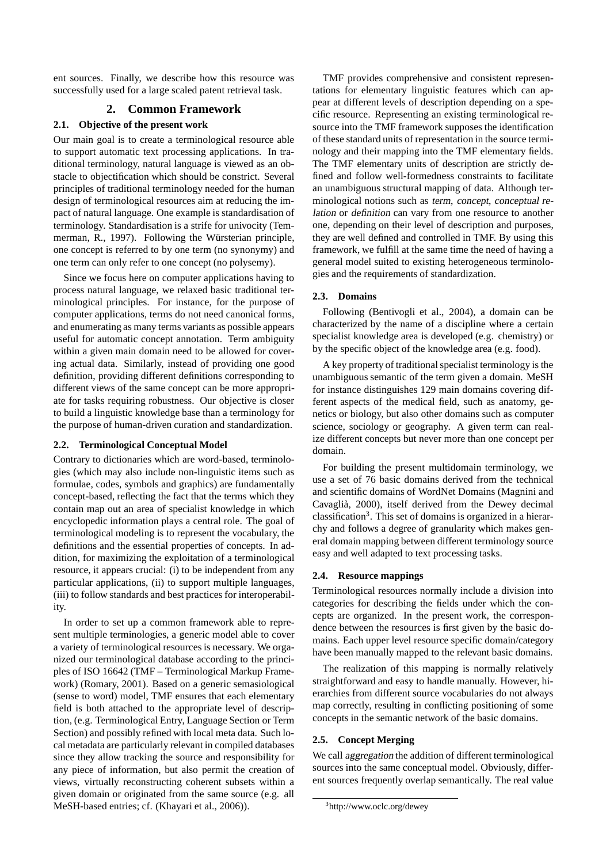ent sources. Finally, we describe how this resource was successfully used for a large scaled patent retrieval task.

#### **2. Common Framework**

#### **2.1. Objective of the present work**

Our main goal is to create a terminological resource able to support automatic text processing applications. In traditional terminology, natural language is viewed as an obstacle to objectification which should be constrict. Several principles of traditional terminology needed for the human design of terminological resources aim at reducing the impact of natural language. One example is standardisation of terminology. Standardisation is a strife for univocity (Temmerman, R., 1997). Following the Würsterian principle, one concept is referred to by one term (no synonymy) and one term can only refer to one concept (no polysemy).

Since we focus here on computer applications having to process natural language, we relaxed basic traditional terminological principles. For instance, for the purpose of computer applications, terms do not need canonical forms, and enumerating as many terms variants as possible appears useful for automatic concept annotation. Term ambiguity within a given main domain need to be allowed for covering actual data. Similarly, instead of providing one good definition, providing different definitions corresponding to different views of the same concept can be more appropriate for tasks requiring robustness. Our objective is closer to build a linguistic knowledge base than a terminology for the purpose of human-driven curation and standardization.

#### **2.2. Terminological Conceptual Model**

Contrary to dictionaries which are word-based, terminologies (which may also include non-linguistic items such as formulae, codes, symbols and graphics) are fundamentally concept-based, reflecting the fact that the terms which they contain map out an area of specialist knowledge in which encyclopedic information plays a central role. The goal of terminological modeling is to represent the vocabulary, the definitions and the essential properties of concepts. In addition, for maximizing the exploitation of a terminological resource, it appears crucial: (i) to be independent from any particular applications, (ii) to support multiple languages, (iii) to follow standards and best practices for interoperability.

In order to set up a common framework able to represent multiple terminologies, a generic model able to cover a variety of terminological resources is necessary. We organized our terminological database according to the principles of ISO 16642 (TMF – Terminological Markup Framework) (Romary, 2001). Based on a generic semasiological (sense to word) model, TMF ensures that each elementary field is both attached to the appropriate level of description, (e.g. Terminological Entry, Language Section or Term Section) and possibly refined with local meta data. Such local metadata are particularly relevant in compiled databases since they allow tracking the source and responsibility for any piece of information, but also permit the creation of views, virtually reconstructing coherent subsets within a given domain or originated from the same source (e.g. all MeSH-based entries; cf. (Khayari et al., 2006)).

TMF provides comprehensive and consistent representations for elementary linguistic features which can appear at different levels of description depending on a specific resource. Representing an existing terminological resource into the TMF framework supposes the identification of these standard units of representation in the source terminology and their mapping into the TMF elementary fields. The TMF elementary units of description are strictly defined and follow well-formedness constraints to facilitate an unambiguous structural mapping of data. Although terminological notions such as term, concept, conceptual relation or definition can vary from one resource to another one, depending on their level of description and purposes, they are well defined and controlled in TMF. By using this framework, we fulfill at the same time the need of having a general model suited to existing heterogeneous terminologies and the requirements of standardization.

#### **2.3. Domains**

Following (Bentivogli et al., 2004), a domain can be characterized by the name of a discipline where a certain specialist knowledge area is developed (e.g. chemistry) or by the specific object of the knowledge area (e.g. food).

A key property of traditional specialist terminology is the unambiguous semantic of the term given a domain. MeSH for instance distinguishes 129 main domains covering different aspects of the medical field, such as anatomy, genetics or biology, but also other domains such as computer science, sociology or geography. A given term can realize different concepts but never more than one concept per domain.

For building the present multidomain terminology, we use a set of 76 basic domains derived from the technical and scientific domains of WordNet Domains (Magnini and Cavaglià, 2000), itself derived from the Dewey decimal classification<sup>3</sup>. This set of domains is organized in a hierarchy and follows a degree of granularity which makes general domain mapping between different terminology source easy and well adapted to text processing tasks.

#### **2.4. Resource mappings**

Terminological resources normally include a division into categories for describing the fields under which the concepts are organized. In the present work, the correspondence between the resources is first given by the basic domains. Each upper level resource specific domain/category have been manually mapped to the relevant basic domains.

The realization of this mapping is normally relatively straightforward and easy to handle manually. However, hierarchies from different source vocabularies do not always map correctly, resulting in conflicting positioning of some concepts in the semantic network of the basic domains.

#### **2.5. Concept Merging**

We call aggregation the addition of different terminological sources into the same conceptual model. Obviously, different sources frequently overlap semantically. The real value

<sup>3</sup> http://www.oclc.org/dewey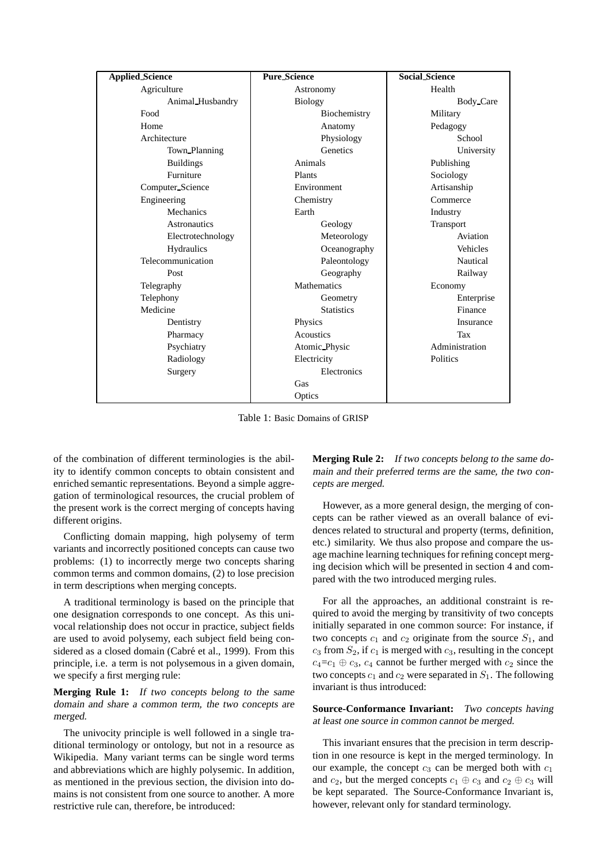| <b>Applied_Science</b> | <b>Pure Science</b> | <b>Social Science</b> |
|------------------------|---------------------|-----------------------|
| Agriculture            | Astronomy           | Health                |
| Animal Husbandry       | <b>Biology</b>      | Body Care             |
| Food                   | Biochemistry        | Military              |
| Home                   | Anatomy             | Pedagogy              |
| Architecture           | Physiology          | School                |
| Town Planning          | Genetics            | University            |
| <b>Buildings</b>       | Animals             | Publishing            |
| Furniture              | Plants              | Sociology             |
| Computer Science       | Environment         | Artisanship           |
| Engineering            | Chemistry           | Commerce              |
| <b>Mechanics</b>       | Earth               | Industry              |
| <b>Astronautics</b>    | Geology             | Transport             |
| Electrotechnology      | Meteorology         | Aviation              |
| <b>Hydraulics</b>      | Oceanography        | Vehicles              |
| Telecommunication      | Paleontology        | Nautical              |
| Post                   | Geography           | Railway               |
| Telegraphy             | <b>Mathematics</b>  | Economy               |
| Telephony              | Geometry            | Enterprise            |
| Medicine               | <b>Statistics</b>   | Finance               |
| Dentistry              | Physics             | Insurance             |
| Pharmacy               | Acoustics           | Tax                   |
| Psychiatry             | Atomic_Physic       | Administration        |
| Radiology              | Electricity         | Politics              |
| Surgery                | Electronics         |                       |
|                        | Gas                 |                       |
|                        | Optics              |                       |

Table 1: Basic Domains of GRISP

of the combination of different terminologies is the ability to identify common concepts to obtain consistent and enriched semantic representations. Beyond a simple aggregation of terminological resources, the crucial problem of the present work is the correct merging of concepts having different origins.

Conflicting domain mapping, high polysemy of term variants and incorrectly positioned concepts can cause two problems: (1) to incorrectly merge two concepts sharing common terms and common domains, (2) to lose precision in term descriptions when merging concepts.

A traditional terminology is based on the principle that one designation corresponds to one concept. As this univocal relationship does not occur in practice, subject fields are used to avoid polysemy, each subject field being considered as a closed domain (Cabré et al., 1999). From this principle, i.e. a term is not polysemous in a given domain, we specify a first merging rule:

**Merging Rule 1:** If two concepts belong to the same domain and share <sup>a</sup> common term, the two concepts are merged.

The univocity principle is well followed in a single traditional terminology or ontology, but not in a resource as Wikipedia. Many variant terms can be single word terms and abbreviations which are highly polysemic. In addition, as mentioned in the previous section, the division into domains is not consistent from one source to another. A more restrictive rule can, therefore, be introduced:

**Merging Rule 2:** If two concepts belong to the same domain and their preferred terms are the same, the two concepts are merged.

However, as a more general design, the merging of concepts can be rather viewed as an overall balance of evidences related to structural and property (terms, definition, etc.) similarity. We thus also propose and compare the usage machine learning techniques for refining concept merging decision which will be presented in section 4 and compared with the two introduced merging rules.

For all the approaches, an additional constraint is required to avoid the merging by transitivity of two concepts initially separated in one common source: For instance, if two concepts  $c_1$  and  $c_2$  originate from the source  $S_1$ , and  $c_3$  from  $S_2$ , if  $c_1$  is merged with  $c_3$ , resulting in the concept  $c_4 = c_1 \oplus c_3$ ,  $c_4$  cannot be further merged with  $c_2$  since the two concepts  $c_1$  and  $c_2$  were separated in  $S_1$ . The following invariant is thus introduced:

**Source-Conformance Invariant:** Two concepts having at least one source in common cannot be merged.

This invariant ensures that the precision in term description in one resource is kept in the merged terminology. In our example, the concept  $c_3$  can be merged both with  $c_1$ and  $c_2$ , but the merged concepts  $c_1 \oplus c_3$  and  $c_2 \oplus c_3$  will be kept separated. The Source-Conformance Invariant is, however, relevant only for standard terminology.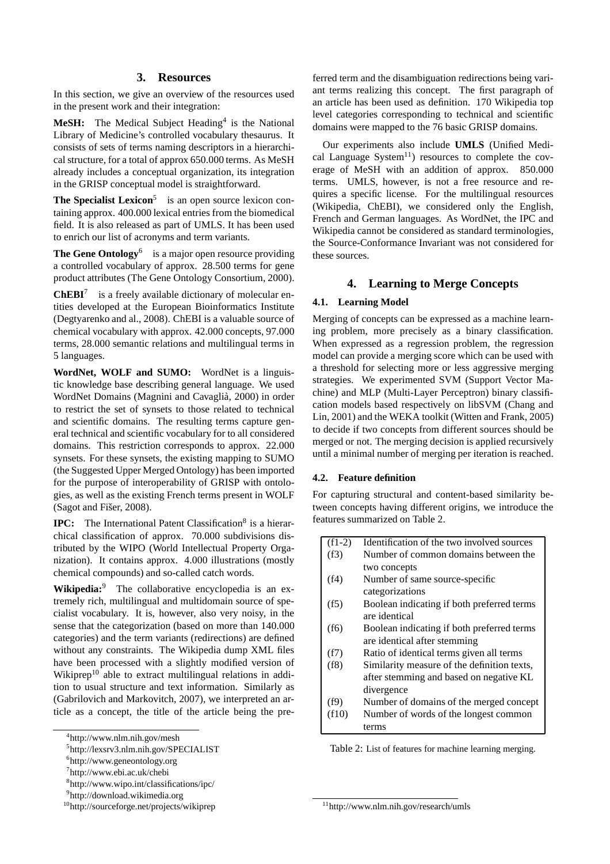#### **3. Resources**

In this section, we give an overview of the resources used in the present work and their integration:

**MeSH:** The Medical Subject Heading<sup>4</sup> is the National Library of Medicine's controlled vocabulary thesaurus. It consists of sets of terms naming descriptors in a hierarchical structure, for a total of approx 650.000 terms. As MeSH already includes a conceptual organization, its integration in the GRISP conceptual model is straightforward.

**The Specialist Lexicon**<sup>5</sup> is an open source lexicon containing approx. 400.000 lexical entries from the biomedical field. It is also released as part of UMLS. It has been used to enrich our list of acronyms and term variants.

**The Gene Ontology**<sup>6</sup> is a major open resource providing a controlled vocabulary of approx. 28.500 terms for gene product attributes (The Gene Ontology Consortium, 2000).

**ChEBI**<sup>7</sup> is a freely available dictionary of molecular entities developed at the European Bioinformatics Institute (Degtyarenko and al., 2008). ChEBI is a valuable source of chemical vocabulary with approx. 42.000 concepts, 97.000 terms, 28.000 semantic relations and multilingual terms in 5 languages.

**WordNet, WOLF and SUMO:** WordNet is a linguistic knowledge base describing general language. We used WordNet Domains (Magnini and Cavaglià, 2000) in order to restrict the set of synsets to those related to technical and scientific domains. The resulting terms capture general technical and scientific vocabulary for to all considered domains. This restriction corresponds to approx. 22.000 synsets. For these synsets, the existing mapping to SUMO (the Suggested Upper Merged Ontology) has been imported for the purpose of interoperability of GRISP with ontologies, as well as the existing French terms present in WOLF (Sagot and Fišer, 2008).

**IPC:** The International Patent Classification<sup>8</sup> is a hierarchical classification of approx. 70.000 subdivisions distributed by the WIPO (World Intellectual Property Organization). It contains approx. 4.000 illustrations (mostly chemical compounds) and so-called catch words.

**Wikipedia:**<sup>9</sup> The collaborative encyclopedia is an extremely rich, multilingual and multidomain source of specialist vocabulary. It is, however, also very noisy, in the sense that the categorization (based on more than 140.000 categories) and the term variants (redirections) are defined without any constraints. The Wikipedia dump XML files have been processed with a slightly modified version of Wikiprep<sup>10</sup> able to extract multilingual relations in addition to usual structure and text information. Similarly as (Gabrilovich and Markovitch, 2007), we interpreted an article as a concept, the title of the article being the pre-

ferred term and the disambiguation redirections being variant terms realizing this concept. The first paragraph of an article has been used as definition. 170 Wikipedia top level categories corresponding to technical and scientific domains were mapped to the 76 basic GRISP domains.

Our experiments also include **UMLS** (Unified Medical Language System<sup>11</sup>) resources to complete the coverage of MeSH with an addition of approx. 850.000 terms. UMLS, however, is not a free resource and requires a specific license. For the multilingual resources (Wikipedia, ChEBI), we considered only the English, French and German languages. As WordNet, the IPC and Wikipedia cannot be considered as standard terminologies, the Source-Conformance Invariant was not considered for these sources.

#### **4. Learning to Merge Concepts**

#### **4.1. Learning Model**

Merging of concepts can be expressed as a machine learning problem, more precisely as a binary classification. When expressed as a regression problem, the regression model can provide a merging score which can be used with a threshold for selecting more or less aggressive merging strategies. We experimented SVM (Support Vector Machine) and MLP (Multi-Layer Perceptron) binary classification models based respectively on libSVM (Chang and Lin, 2001) and the WEKA toolkit (Witten and Frank, 2005) to decide if two concepts from different sources should be merged or not. The merging decision is applied recursively until a minimal number of merging per iteration is reached.

#### **4.2. Feature definition**

For capturing structural and content-based similarity between concepts having different origins, we introduce the features summarized on Table 2.

| $(f1-2)$ | Identification of the two involved sources  |
|----------|---------------------------------------------|
| (f3)     | Number of common domains between the        |
|          | two concepts                                |
| (f4)     | Number of same source-specific              |
|          | categorizations                             |
| (f5)     | Boolean indicating if both preferred terms  |
|          | are identical                               |
| (f6)     | Boolean indicating if both preferred terms  |
|          | are identical after stemming                |
| (f7)     | Ratio of identical terms given all terms    |
| (f8)     | Similarity measure of the definition texts, |
|          | after stemming and based on negative KL     |
|          | divergence                                  |
| (f9)     | Number of domains of the merged concept     |
| (f10)    | Number of words of the longest common       |
|          | terms                                       |

Table 2: List of features for machine learning merging.

<sup>4</sup> http://www.nlm.nih.gov/mesh

<sup>5</sup> http://lexsrv3.nlm.nih.gov/SPECIALIST

<sup>6</sup> http://www.geneontology.org

<sup>7</sup> http://www.ebi.ac.uk/chebi

<sup>8</sup> http://www.wipo.int/classifications/ipc/

<sup>9</sup> http://download.wikimedia.org

<sup>10</sup>http://sourceforge.net/projects/wikiprep

<sup>11</sup>http://www.nlm.nih.gov/research/umls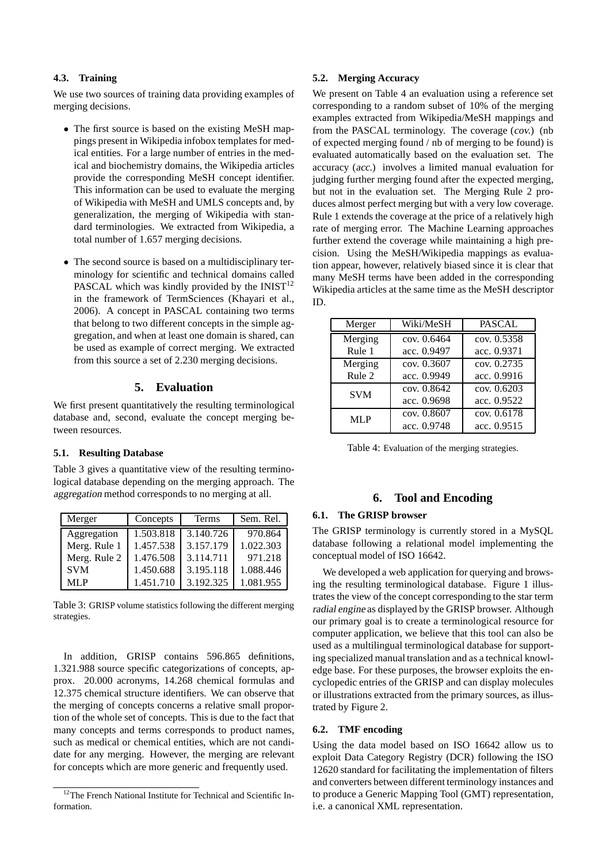#### **4.3. Training**

We use two sources of training data providing examples of merging decisions.

- The first source is based on the existing MeSH mappings present in Wikipedia infobox templates for medical entities. For a large number of entries in the medical and biochemistry domains, the Wikipedia articles provide the corresponding MeSH concept identifier. This information can be used to evaluate the merging of Wikipedia with MeSH and UMLS concepts and, by generalization, the merging of Wikipedia with standard terminologies. We extracted from Wikipedia, a total number of 1.657 merging decisions.
- The second source is based on a multidisciplinary terminology for scientific and technical domains called PASCAL which was kindly provided by the  $INIST<sup>12</sup>$ in the framework of TermSciences (Khayari et al., 2006). A concept in PASCAL containing two terms that belong to two different concepts in the simple aggregation, and when at least one domain is shared, can be used as example of correct merging. We extracted from this source a set of 2.230 merging decisions.

#### **5. Evaluation**

We first present quantitatively the resulting terminological database and, second, evaluate the concept merging between resources.

#### **5.1. Resulting Database**

Table 3 gives a quantitative view of the resulting terminological database depending on the merging approach. The aggregation method corresponds to no merging at all.

| Merger       | Concepts  | Terms     | Sem. Rel. |
|--------------|-----------|-----------|-----------|
| Aggregation  | 1.503.818 | 3.140.726 | 970.864   |
| Merg. Rule 1 | 1.457.538 | 3.157.179 | 1.022.303 |
| Merg. Rule 2 | 1.476.508 | 3.114.711 | 971.218   |
| <b>SVM</b>   | 1.450.688 | 3.195.118 | 1.088.446 |
| MLP          | 1.451.710 | 3.192.325 | 1.081.955 |

Table 3: GRISP volume statistics following the different merging strategies.

In addition, GRISP contains 596.865 definitions, 1.321.988 source specific categorizations of concepts, approx. 20.000 acronyms, 14.268 chemical formulas and 12.375 chemical structure identifiers. We can observe that the merging of concepts concerns a relative small proportion of the whole set of concepts. This is due to the fact that many concepts and terms corresponds to product names, such as medical or chemical entities, which are not candidate for any merging. However, the merging are relevant for concepts which are more generic and frequently used.

#### **5.2. Merging Accuracy**

We present on Table 4 an evaluation using a reference set corresponding to a random subset of 10% of the merging examples extracted from Wikipedia/MeSH mappings and from the PASCAL terminology. The coverage (cov.) (nb of expected merging found / nb of merging to be found) is evaluated automatically based on the evaluation set. The accuracy (acc.) involves a limited manual evaluation for judging further merging found after the expected merging, but not in the evaluation set. The Merging Rule 2 produces almost perfect merging but with a very low coverage. Rule 1 extends the coverage at the price of a relatively high rate of merging error. The Machine Learning approaches further extend the coverage while maintaining a high precision. Using the MeSH/Wikipedia mappings as evaluation appear, however, relatively biased since it is clear that many MeSH terms have been added in the corresponding Wikipedia articles at the same time as the MeSH descriptor ID.

| Merger     | Wiki/MeSH     | <b>PASCAL</b> |
|------------|---------------|---------------|
| Merging    | cov. 0.6464   | cov. 0.5358   |
| Rule 1     | acc. 0.9497   | acc. 0.9371   |
| Merging    | cov. $0.3607$ | cov. 0.2735   |
| Rule 2     | acc. 0.9949   | acc. 0.9916   |
| <b>SVM</b> | cov. 0.8642   | cov. $0.6203$ |
|            | acc. 0.9698   | acc. 0.9522   |
| MLP        | cov. 0.8607   | cov. $0.6178$ |
|            | acc. 0.9748   | acc. 0.9515   |

Table 4: Evaluation of the merging strategies.

#### **6. Tool and Encoding**

#### **6.1. The GRISP browser**

The GRISP terminology is currently stored in a MySQL database following a relational model implementing the conceptual model of ISO 16642.

We developed a web application for querying and browsing the resulting terminological database. Figure 1 illustrates the view of the concept corresponding to the star term radial engine as displayed by the GRISP browser. Although our primary goal is to create a terminological resource for computer application, we believe that this tool can also be used as a multilingual terminological database for supporting specialized manual translation and as a technical knowledge base. For these purposes, the browser exploits the encyclopedic entries of the GRISP and can display molecules or illustrations extracted from the primary sources, as illustrated by Figure 2.

#### **6.2. TMF encoding**

Using the data model based on ISO 16642 allow us to exploit Data Category Registry (DCR) following the ISO 12620 standard for facilitating the implementation of filters and converters between different terminology instances and to produce a Generic Mapping Tool (GMT) representation, i.e. a canonical XML representation.

<sup>&</sup>lt;sup>12</sup>The French National Institute for Technical and Scientific Information.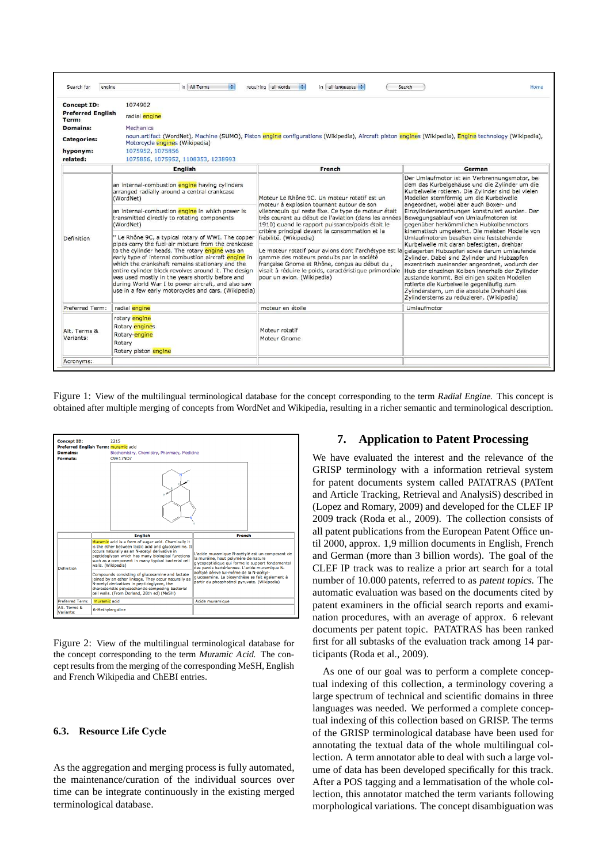| Search for<br>engine              | M<br>in All Terms                                                                                                                                                                                                                                                                                                                                                                                                                                                                                                                                                                                                                                                                                                              | requiring all words<br>$in$ all languages $\div$<br>H.                                                                                                                                                                                                                                                                                                                                                                                                                                                                                                                                                                             | Search<br>Home                                                                                                                                                                                                                                                                                                                                                                                                                                                                                                                                                                                                                                                                                                                                                                                                                                                         |
|-----------------------------------|--------------------------------------------------------------------------------------------------------------------------------------------------------------------------------------------------------------------------------------------------------------------------------------------------------------------------------------------------------------------------------------------------------------------------------------------------------------------------------------------------------------------------------------------------------------------------------------------------------------------------------------------------------------------------------------------------------------------------------|------------------------------------------------------------------------------------------------------------------------------------------------------------------------------------------------------------------------------------------------------------------------------------------------------------------------------------------------------------------------------------------------------------------------------------------------------------------------------------------------------------------------------------------------------------------------------------------------------------------------------------|------------------------------------------------------------------------------------------------------------------------------------------------------------------------------------------------------------------------------------------------------------------------------------------------------------------------------------------------------------------------------------------------------------------------------------------------------------------------------------------------------------------------------------------------------------------------------------------------------------------------------------------------------------------------------------------------------------------------------------------------------------------------------------------------------------------------------------------------------------------------|
| Concept ID:                       | 1074902                                                                                                                                                                                                                                                                                                                                                                                                                                                                                                                                                                                                                                                                                                                        |                                                                                                                                                                                                                                                                                                                                                                                                                                                                                                                                                                                                                                    |                                                                                                                                                                                                                                                                                                                                                                                                                                                                                                                                                                                                                                                                                                                                                                                                                                                                        |
| <b>Preferred English</b><br>Term: | radial engine                                                                                                                                                                                                                                                                                                                                                                                                                                                                                                                                                                                                                                                                                                                  |                                                                                                                                                                                                                                                                                                                                                                                                                                                                                                                                                                                                                                    |                                                                                                                                                                                                                                                                                                                                                                                                                                                                                                                                                                                                                                                                                                                                                                                                                                                                        |
| <b>Domains:</b>                   | Mechanics                                                                                                                                                                                                                                                                                                                                                                                                                                                                                                                                                                                                                                                                                                                      |                                                                                                                                                                                                                                                                                                                                                                                                                                                                                                                                                                                                                                    |                                                                                                                                                                                                                                                                                                                                                                                                                                                                                                                                                                                                                                                                                                                                                                                                                                                                        |
| <b>Categories:</b>                | Motorcycle engines (Wikipedia)                                                                                                                                                                                                                                                                                                                                                                                                                                                                                                                                                                                                                                                                                                 | noun.artifact (WordNet), Machine (SUMO), Piston engine configurations (Wikipedia), Aircraft piston engines (Wikipedia), Engine technology (Wikipedia),                                                                                                                                                                                                                                                                                                                                                                                                                                                                             |                                                                                                                                                                                                                                                                                                                                                                                                                                                                                                                                                                                                                                                                                                                                                                                                                                                                        |
| hyponym:                          | 1075952, 1075856                                                                                                                                                                                                                                                                                                                                                                                                                                                                                                                                                                                                                                                                                                               |                                                                                                                                                                                                                                                                                                                                                                                                                                                                                                                                                                                                                                    |                                                                                                                                                                                                                                                                                                                                                                                                                                                                                                                                                                                                                                                                                                                                                                                                                                                                        |
| related:                          | 1075856, 1075952, 1108353, 1238993                                                                                                                                                                                                                                                                                                                                                                                                                                                                                                                                                                                                                                                                                             |                                                                                                                                                                                                                                                                                                                                                                                                                                                                                                                                                                                                                                    |                                                                                                                                                                                                                                                                                                                                                                                                                                                                                                                                                                                                                                                                                                                                                                                                                                                                        |
|                                   | <b>English</b>                                                                                                                                                                                                                                                                                                                                                                                                                                                                                                                                                                                                                                                                                                                 | French                                                                                                                                                                                                                                                                                                                                                                                                                                                                                                                                                                                                                             | German                                                                                                                                                                                                                                                                                                                                                                                                                                                                                                                                                                                                                                                                                                                                                                                                                                                                 |
| Definition                        | an internal-combustion engine having cylinders<br>arranged radially around a central crankcase<br>(WordNet)<br>an internal-combustion engine in which power is<br>transmitted directly to rotating components<br>(WordNet)<br>" Le Rhône 9C, a typical rotary of WWI. The copper<br>pipes carry the fuel-air mixture from the crankcase<br>to the cylinder heads. The rotary engine was an<br>early type of internal combustion aircraft engine in<br>which the crankshaft remains stationary and the<br>entire cylinder block revolves around it. The design<br>was used mostly in the years shortly before and<br>during World War I to power aircraft, and also saw<br>use in a few early motorcycles and cars. (Wikipedia) | Moteur Le Rhône 9C. Un moteur rotatif est un<br>moteur à explosion tournant autour de son<br>vilebrequin qui reste fixe. Ce type de moteur était<br>très courant au début de l'aviation (dans les années<br>1910) quand le rapport puissance/poids était le<br>critère principal devant la consommation et la<br>fiabilité. (Wikipedia)<br>Le moteur rotatif pour avions dont l'archétype est la gelagerten Hubzapfen sowie darum umlaufende<br>gamme des moteurs produits par la société<br>française Gnome et Rhône, conçus au début du,<br>visait à réduire le poids, caractéristique primordiale<br>pour un avion. (Wikipedia) | Der Umlaufmotor ist ein Verbrennungsmotor, bei<br>dem das Kurbelgehäuse und die Zylinder um die<br>Kurbelwelle rotieren. Die Zylinder sind bei vielen<br>Modellen sternförmig um die Kurbelwelle<br>angeordnet, wobei aber auch Boxer- und<br>Einzylinderanordnungen konstruiert wurden. Der<br>Bewegungsablauf von Umlaufmotoren ist<br>gegenüber herkömmlichen Hubkolbenmotors<br>kinematisch umgekehrt. Die meisten Modelle von<br>Umlaufmotoren besaßen eine feststehende<br>Kurbelwelle mit daran befestigten, drehbar<br>Zylinder. Dabei sind Zylinder und Hubzapfen<br>exzentrisch zueinander angeordnet, wodurch der<br>Hub der einzelnen Kolben innerhalb der Zylinder<br>zustande kommt. Bei einigen späten Modellen<br>rotierte die Kurbelwelle gegenläufig zum<br>Zylinderstern, um die absolute Drehzahl des<br>Zylindersterns zu reduzieren. (Wikipedia) |
| Preferred Term:                   | radial engine                                                                                                                                                                                                                                                                                                                                                                                                                                                                                                                                                                                                                                                                                                                  | moteur en étoile                                                                                                                                                                                                                                                                                                                                                                                                                                                                                                                                                                                                                   | Umlaufmotor                                                                                                                                                                                                                                                                                                                                                                                                                                                                                                                                                                                                                                                                                                                                                                                                                                                            |
| Alt. Terms &<br>Variants:         | rotary engine<br>Rotary engines<br>Rotary-engine<br>Rotary<br>Rotary piston engine                                                                                                                                                                                                                                                                                                                                                                                                                                                                                                                                                                                                                                             | Moteur rotatif<br>Moteur Gnome                                                                                                                                                                                                                                                                                                                                                                                                                                                                                                                                                                                                     |                                                                                                                                                                                                                                                                                                                                                                                                                                                                                                                                                                                                                                                                                                                                                                                                                                                                        |

Figure 1: View of the multilingual terminological database for the concept corresponding to the term Radial Engine. This concept is obtained after multiple merging of concepts from WordNet and Wikipedia, resulting in a richer semantic and terminological description.



Figure 2: View of the multilingual terminological database for the concept corresponding to the term Muramic Acid. The concept results from the merging of the corresponding MeSH, English and French Wikipedia and ChEBI entries.

#### **6.3. Resource Life Cycle**

As the aggregation and merging process is fully automated, the maintenance/curation of the individual sources over time can be integrate continuously in the existing merged terminological database.

#### **7. Application to Patent Processing**

We have evaluated the interest and the relevance of the GRISP terminology with a information retrieval system for patent documents system called PATATRAS (PATent and Article Tracking, Retrieval and AnalysiS) described in (Lopez and Romary, 2009) and developed for the CLEF IP 2009 track (Roda et al., 2009). The collection consists of all patent publications from the European Patent Office until 2000, approx. 1,9 million documents in English, French and German (more than 3 billion words). The goal of the CLEF IP track was to realize a prior art search for a total number of 10.000 patents, referred to as patent topics. The automatic evaluation was based on the documents cited by patent examiners in the official search reports and examination procedures, with an average of approx. 6 relevant documents per patent topic. PATATRAS has been ranked first for all subtasks of the evaluation track among 14 participants (Roda et al., 2009).

As one of our goal was to perform a complete conceptual indexing of this collection, a terminology covering a large spectrum of technical and scientific domains in three languages was needed. We performed a complete conceptual indexing of this collection based on GRISP. The terms of the GRISP terminological database have been used for annotating the textual data of the whole multilingual collection. A term annotator able to deal with such a large volume of data has been developed specifically for this track. After a POS tagging and a lemmatisation of the whole collection, this annotator matched the term variants following morphological variations. The concept disambiguation was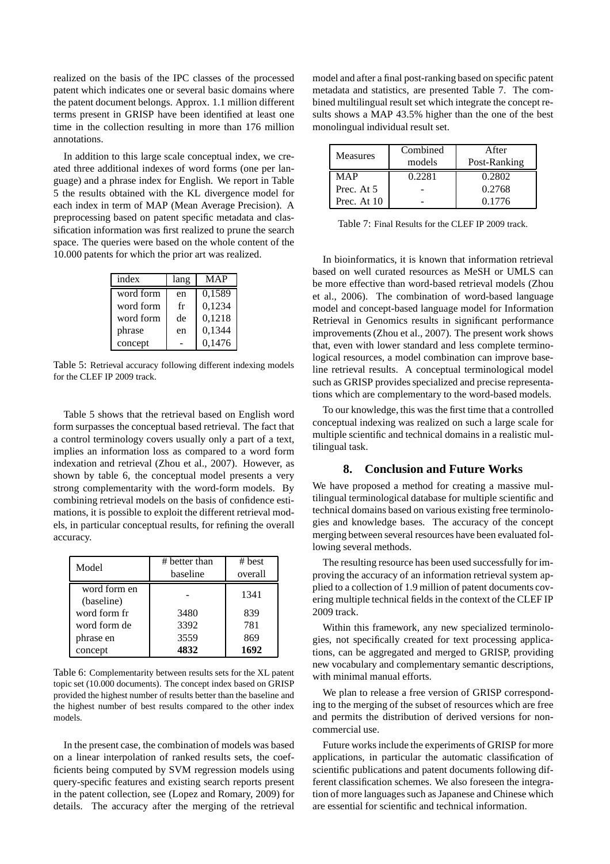realized on the basis of the IPC classes of the processed patent which indicates one or several basic domains where the patent document belongs. Approx. 1.1 million different terms present in GRISP have been identified at least one time in the collection resulting in more than 176 million annotations.

In addition to this large scale conceptual index, we created three additional indexes of word forms (one per language) and a phrase index for English. We report in Table 5 the results obtained with the KL divergence model for each index in term of MAP (Mean Average Precision). A preprocessing based on patent specific metadata and classification information was first realized to prune the search space. The queries were based on the whole content of the 10.000 patents for which the prior art was realized.

| index     | lang | <b>MAP</b> |
|-----------|------|------------|
| word form | en   | 0,1589     |
| word form | fr   | 0,1234     |
| word form | de   | 0,1218     |
| phrase    | en   | 0,1344     |
| concept   |      | 0,1476     |

Table 5: Retrieval accuracy following different indexing models for the CLEF IP 2009 track.

Table 5 shows that the retrieval based on English word form surpasses the conceptual based retrieval. The fact that a control terminology covers usually only a part of a text, implies an information loss as compared to a word form indexation and retrieval (Zhou et al., 2007). However, as shown by table 6, the conceptual model presents a very strong complementarity with the word-form models. By combining retrieval models on the basis of confidence estimations, it is possible to exploit the different retrieval models, in particular conceptual results, for refining the overall accuracy.

| Model                      | # better than<br>baseline | # best<br>overall |
|----------------------------|---------------------------|-------------------|
| word form en<br>(baseline) |                           | 1341              |
| word form fr               | 3480                      | 839               |
| word form de               | 3392                      | 781               |
| phrase en                  | 3559                      | 869               |
| concept                    | 4832                      | 1692              |

Table 6: Complementarity between results sets for the XL patent topic set (10.000 documents). The concept index based on GRISP provided the highest number of results better than the baseline and the highest number of best results compared to the other index models.

In the present case, the combination of models was based on a linear interpolation of ranked results sets, the coefficients being computed by SVM regression models using query-specific features and existing search reports present in the patent collection, see (Lopez and Romary, 2009) for details. The accuracy after the merging of the retrieval

model and after a final post-ranking based on specific patent metadata and statistics, are presented Table 7. The combined multilingual result set which integrate the concept results shows a MAP 43.5% higher than the one of the best monolingual individual result set.

| <b>Measures</b> | Combined | After        |
|-----------------|----------|--------------|
|                 | models   | Post-Ranking |
| <b>MAP</b>      | 0.2281   | 0.2802       |
| Prec. At 5      |          | 0.2768       |
| Prec. At 10     |          | 0.1776       |

Table 7: Final Results for the CLEF IP 2009 track.

In bioinformatics, it is known that information retrieval based on well curated resources as MeSH or UMLS can be more effective than word-based retrieval models (Zhou et al., 2006). The combination of word-based language model and concept-based language model for Information Retrieval in Genomics results in significant performance improvements (Zhou et al., 2007). The present work shows that, even with lower standard and less complete terminological resources, a model combination can improve baseline retrieval results. A conceptual terminological model such as GRISP provides specialized and precise representations which are complementary to the word-based models.

To our knowledge, this was the first time that a controlled conceptual indexing was realized on such a large scale for multiple scientific and technical domains in a realistic multilingual task.

#### **8. Conclusion and Future Works**

We have proposed a method for creating a massive multilingual terminological database for multiple scientific and technical domains based on various existing free terminologies and knowledge bases. The accuracy of the concept merging between several resources have been evaluated following several methods.

The resulting resource has been used successfully for improving the accuracy of an information retrieval system applied to a collection of 1.9 million of patent documents covering multiple technical fields in the context of the CLEF IP 2009 track.

Within this framework, any new specialized terminologies, not specifically created for text processing applications, can be aggregated and merged to GRISP, providing new vocabulary and complementary semantic descriptions, with minimal manual efforts.

We plan to release a free version of GRISP corresponding to the merging of the subset of resources which are free and permits the distribution of derived versions for noncommercial use.

Future works include the experiments of GRISP for more applications, in particular the automatic classification of scientific publications and patent documents following different classification schemes. We also foreseen the integration of more languages such as Japanese and Chinese which are essential for scientific and technical information.